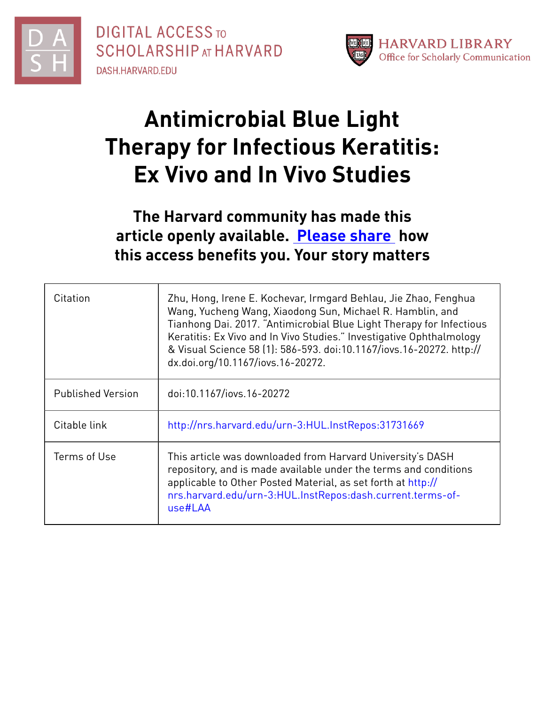

**DIGITAL ACCESS TO SCHOLARSHIP AT HARVARD** DASH.HARVARD.EDU



# **Antimicrobial Blue Light Therapy for Infectious Keratitis: Ex Vivo and In Vivo Studies**

## **The Harvard community has made this article openly available. [Please](http://osc.hul.harvard.edu/dash/open-access-feedback?handle=&title=Antimicrobial%20Blue%20Light%20Therapy%20for%20Infectious%20Keratitis:%20Ex%20Vivo%20and%20In%20Vivo%20Studies&community=1/4454685&collection=1/4454686&owningCollection1/4454686&harvardAuthors=2900e92c5cb8464a92b27ff1909786d2&department) share how this access benefits you. Your story matters**

| Citation                 | Zhu, Hong, Irene E. Kochevar, Irmgard Behlau, Jie Zhao, Fenghua<br>Wang, Yucheng Wang, Xiaodong Sun, Michael R. Hamblin, and<br>Tianhong Dai. 2017. "Antimicrobial Blue Light Therapy for Infectious<br>Keratitis: Ex Vivo and In Vivo Studies." Investigative Ophthalmology<br>& Visual Science 58 (1): 586-593. doi:10.1167/iovs.16-20272. http://<br>dx.doi.org/10.1167/iovs.16-20272. |
|--------------------------|-------------------------------------------------------------------------------------------------------------------------------------------------------------------------------------------------------------------------------------------------------------------------------------------------------------------------------------------------------------------------------------------|
| <b>Published Version</b> | doi:10.1167/iovs.16-20272                                                                                                                                                                                                                                                                                                                                                                 |
| Citable link             | http://nrs.harvard.edu/urn-3:HUL.InstRepos:31731669                                                                                                                                                                                                                                                                                                                                       |
| Terms of Use             | This article was downloaded from Harvard University's DASH<br>repository, and is made available under the terms and conditions<br>applicable to Other Posted Material, as set forth at http://<br>nrs.harvard.edu/urn-3:HUL.InstRepos:dash.current.terms-of-<br>use#LAA                                                                                                                   |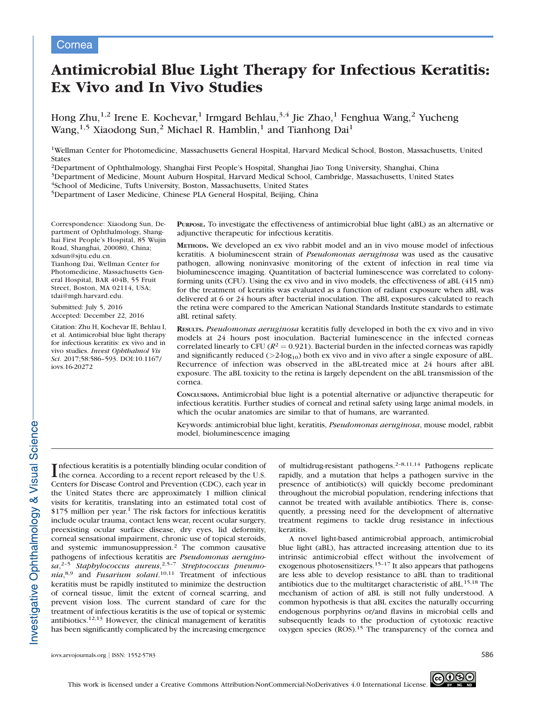#### Cornea

### Antimicrobial Blue Light Therapy for Infectious Keratitis: Ex Vivo and In Vivo Studies

Hong Zhu,<sup>1,2</sup> Irene E. Kochevar,<sup>1</sup> Irmgard Behlau,<sup>3,4</sup> Jie Zhao,<sup>1</sup> Fenghua Wang,<sup>2</sup> Yucheng Wang,<sup>1,5</sup> Xiaodong Sun,<sup>2</sup> Michael R. Hamblin,<sup>1</sup> and Tianhong Dai<sup>1</sup>

1Wellman Center for Photomedicine, Massachusetts General Hospital, Harvard Medical School, Boston, Massachusetts, United States

2Department of Ophthalmology, Shanghai First People's Hospital, Shanghai Jiao Tong University, Shanghai, China

3Department of Medicine, Mount Auburn Hospital, Harvard Medical School, Cambridge, Massachusetts, United States

4School of Medicine, Tufts University, Boston, Massachusetts, United States

5Department of Laser Medicine, Chinese PLA General Hospital, Beijing, China

Correspondence: Xiaodong Sun, Department of Ophthalmology, Shanghai First People's Hospital, 85 Wujin Road, Shanghai, 200080, China; xdsun@sjtu.edu.cn. Tianhong Dai, Wellman Center for

Photomedicine, Massachusetts General Hospital, BAR 404B, 55 Fruit Street, Boston, MA 02114, USA; tdai@mgh.harvard.edu.

Submitted: July 5, 2016 Accepted: December 22, 2016

Citation: Zhu H, Kochevar IE, Behlau I, et al. Antimicrobial blue light therapy for infectious keratitis: ex vivo and in vivo studies. Invest Ophthalmol Vis Sci. 2017;58:586–593. DOI:10.1167/ iovs.16-20272

PURPOSE. To investigate the effectiveness of antimicrobial blue light (aBL) as an alternative or adjunctive therapeutic for infectious keratitis.

METHODS. We developed an ex vivo rabbit model and an in vivo mouse model of infectious keratitis. A bioluminescent strain of Pseudomonas aeruginosa was used as the causative pathogen, allowing noninvasive monitoring of the extent of infection in real time via bioluminescence imaging. Quantitation of bacterial luminescence was correlated to colonyforming units (CFU). Using the ex vivo and in vivo models, the effectiveness of aBL (415 nm) for the treatment of keratitis was evaluated as a function of radiant exposure when aBL was delivered at 6 or 24 hours after bacterial inoculation. The aBL exposures calculated to reach the retina were compared to the American National Standards Institute standards to estimate aBL retinal safety.

RESULTS. Pseudomonas aeruginosa keratitis fully developed in both the ex vivo and in vivo models at 24 hours post inoculation. Bacterial luminescence in the infected corneas correlated linearly to CFU ( $R^2 = 0.921$ ). Bacterial burden in the infected corneas was rapidly and significantly reduced ( $>2$ -log<sub>10</sub>) both ex vivo and in vivo after a single exposure of aBL. Recurrence of infection was observed in the aBL-treated mice at 24 hours after aBL exposure. The aBL toxicity to the retina is largely dependent on the aBL transmission of the cornea.

CONCLUSIONS. Antimicrobial blue light is a potential alternative or adjunctive therapeutic for infectious keratitis. Further studies of corneal and retinal safety using large animal models, in which the ocular anatomies are similar to that of humans, are warranted.

Keywords: antimicrobial blue light, keratitis, Pseudomonas aeruginosa, mouse model, rabbit model, bioluminescence imaging

Infectious keratitis is a potentially blinding ocular condition of<br>the cornea. According to a recent report released by the U.S. the cornea. According to a recent report released by the U.S. Centers for Disease Control and Prevention (CDC), each year in the United States there are approximately 1 million clinical visits for keratitis, translating into an estimated total cost of  $$175$  million per year.<sup>1</sup> The risk factors for infectious keratitis include ocular trauma, contact lens wear, recent ocular surgery, preexisting ocular surface disease, dry eyes, lid deformity, corneal sensational impairment, chronic use of topical steroids, and systemic immunosuppression.<sup>2</sup> The common causative pathogens of infectious keratitis are Pseudomonas aeruginosa,<sup>2-5</sup> Staphylococcus aureus,<sup>2,5-7</sup> Streptococcus pneumonia,<sup>8,9</sup> and *Fusarium solani*.<sup>10,11</sup> Treatment of infectious keratitis must be rapidly instituted to minimize the destruction of corneal tissue, limit the extent of corneal scarring, and prevent vision loss. The current standard of care for the treatment of infectious keratitis is the use of topical or systemic antibiotics.<sup>12,13</sup> However, the clinical management of keratitis has been significantly complicated by the increasing emergence of multidrug-resistant pathogens.2–8,11,14 Pathogens replicate rapidly, and a mutation that helps a pathogen survive in the presence of antibiotic(s) will quickly become predominant throughout the microbial population, rendering infections that cannot be treated with available antibiotics. There is, consequently, a pressing need for the development of alternative treatment regimens to tackle drug resistance in infectious keratitis.

A novel light-based antimicrobial approach, antimicrobial blue light (aBL), has attracted increasing attention due to its intrinsic antimicrobial effect without the involvement of exogenous photosensitizers.<sup>15–17</sup> It also appears that pathogens are less able to develop resistance to aBL than to traditional antibiotics due to the multitarget characteristic of aBL.15,18 The mechanism of action of aBL is still not fully understood. A common hypothesis is that aBL excites the naturally occurring endogenous porphyrins or/and flavins in microbial cells and subsequently leads to the production of cytotoxic reactive oxygen species (ROS).<sup>15</sup> The transparency of the cornea and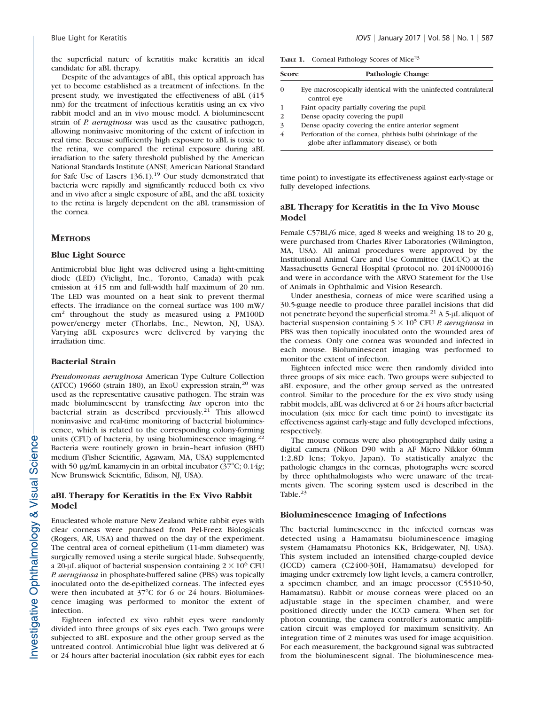the superficial nature of keratitis make keratitis an ideal candidate for aBL therapy.

Despite of the advantages of aBL, this optical approach has yet to become established as a treatment of infections. In the present study, we investigated the effectiveness of aBL (415 nm) for the treatment of infectious keratitis using an ex vivo rabbit model and an in vivo mouse model. A bioluminescent strain of *P. aeruginosa* was used as the causative pathogen, allowing noninvasive monitoring of the extent of infection in real time. Because sufficiently high exposure to aBL is toxic to the retina, we compared the retinal exposure during aBL irradiation to the safety threshold published by the American National Standards Institute (ANSI; American National Standard for Safe Use of Lasers 136.1).<sup>19</sup> Our study demonstrated that bacteria were rapidly and significantly reduced both ex vivo and in vivo after a single exposure of aBL, and the aBL toxicity to the retina is largely dependent on the aBL transmission of the cornea.

#### **METHODS**

#### Blue Light Source

Antimicrobial blue light was delivered using a light-emitting diode (LED) (Vielight, Inc., Toronto, Canada) with peak emission at 415 nm and full-width half maximum of 20 nm. The LED was mounted on a heat sink to prevent thermal effects. The irradiance on the corneal surface was 100 mW/ cm<sup>2</sup> throughout the study as measured using a PM100D power/energy meter (Thorlabs, Inc., Newton, NJ, USA). Varying aBL exposures were delivered by varying the irradiation time.

#### Bacterial Strain

Pseudomonas aeruginosa American Type Culture Collection (ATCC) 19660 (strain 180), an ExoU expression strain, $20$  was used as the representative causative pathogen. The strain was made bioluminescent by transfecting *lux* operon into the bacterial strain as described previously.<sup>21</sup> This allowed noninvasive and real-time monitoring of bacterial bioluminescence, which is related to the corresponding colony-forming units (CFU) of bacteria, by using bioluminescence imaging. $22$ Bacteria were routinely grown in brain–heart infusion (BHI) medium (Fisher Scientific, Agawam, MA, USA) supplemented with 50 µg/mL kanamycin in an orbital incubator  $(37^{\circ}C; 0.14g;$ New Brunswick Scientific, Edison, NJ, USA).

#### aBL Therapy for Keratitis in the Ex Vivo Rabbit Model

Enucleated whole mature New Zealand white rabbit eyes with clear corneas were purchased from Pel-Freez Biologicals (Rogers, AR, USA) and thawed on the day of the experiment. The central area of corneal epithelium (11-mm diameter) was surgically removed using a sterile surgical blade. Subsequently, a 20-µL aliquot of bacterial suspension containing  $2 \times 10^6$  CFU P. aeruginosa in phosphate-buffered saline (PBS) was topically inoculated onto the de-epithelized corneas. The infected eyes were then incubated at  $37^{\circ}$ C for 6 or 24 hours. Bioluminescence imaging was performed to monitor the extent of infection.

Eighteen infected ex vivo rabbit eyes were randomly divided into three groups of six eyes each. Two groups were subjected to aBL exposure and the other group served as the untreated control. Antimicrobial blue light was delivered at 6 or 24 hours after bacterial inoculation (six rabbit eyes for each

TABLE 1. Corneal Pathology Scores of Mice<sup>23</sup>

| Score                       | Pathologic Change                                                                                         |
|-----------------------------|-----------------------------------------------------------------------------------------------------------|
| $\Omega$                    | Eye macroscopically identical with the uninfected contralateral<br>control eye                            |
|                             | Faint opacity partially covering the pupil                                                                |
| $\mathcal{D}_{\mathcal{L}}$ | Dense opacity covering the pupil                                                                          |
| 3                           | Dense opacity covering the entire anterior segment                                                        |
| 4                           | Perforation of the cornea, phthisis bulbi (shrinkage of the<br>globe after inflammatory disease), or both |

time point) to investigate its effectiveness against early-stage or fully developed infections.

#### aBL Therapy for Keratitis in the In Vivo Mouse Model

Female C57BL/6 mice, aged 8 weeks and weighing 18 to 20 g, were purchased from Charles River Laboratories (Wilmington, MA, USA). All animal procedures were approved by the Institutional Animal Care and Use Committee (IACUC) at the Massachusetts General Hospital (protocol no. 2014N000016) and were in accordance with the ARVO Statement for the Use of Animals in Ophthalmic and Vision Research.

Under anesthesia, corneas of mice were scarified using a 30.5-guage needle to produce three parallel incisions that did not penetrate beyond the superficial stroma.<sup>21</sup> A 5-µL aliquot of bacterial suspension containing  $5 \times 10^5$  CFU *P. aeruginosa* in PBS was then topically inoculated onto the wounded area of the corneas. Only one cornea was wounded and infected in each mouse. Bioluminescent imaging was performed to monitor the extent of infection.

Eighteen infected mice were then randomly divided into three groups of six mice each. Two groups were subjected to aBL exposure, and the other group served as the untreated control. Similar to the procedure for the ex vivo study using rabbit models, aBL was delivered at 6 or 24 hours after bacterial inoculation (six mice for each time point) to investigate its effectiveness against early-stage and fully developed infections, respectively.

The mouse corneas were also photographed daily using a digital camera (Nikon D90 with a AF Micro Nikkor 60mm 1:2.8D lens; Tokyo, Japan). To statistically analyze the pathologic changes in the corneas, photographs were scored by three ophthalmologists who were unaware of the treatments given. The scoring system used is described in the Table.<sup>23</sup>

#### Bioluminescence Imaging of Infections

The bacterial luminescence in the infected corneas was detected using a Hamamatsu bioluminescence imaging system (Hamamatsu Photonics KK, Bridgewater, NJ, USA). This system included an intensified charge-coupled device (ICCD) camera (C2400-30H, Hamamatsu) developed for imaging under extremely low light levels, a camera controller, a specimen chamber, and an image processor (C5510-50, Hamamatsu). Rabbit or mouse corneas were placed on an adjustable stage in the specimen chamber, and were positioned directly under the ICCD camera. When set for photon counting, the camera controller's automatic amplification circuit was employed for maximum sensitivity. An integration time of 2 minutes was used for image acquisition. For each measurement, the background signal was subtracted from the bioluminescent signal. The bioluminescence mea-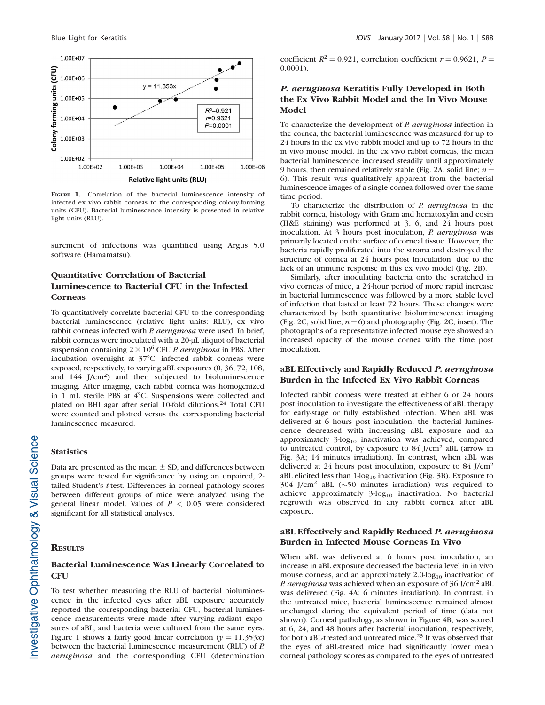

FIGURE 1. Correlation of the bacterial luminescence intensity of infected ex vivo rabbit corneas to the corresponding colony-forming units (CFU). Bacterial luminescence intensity is presented in relative light units (RLU).

surement of infections was quantified using Argus 5.0 software (Hamamatsu).

#### Quantitative Correlation of Bacterial Luminescence to Bacterial CFU in the Infected **Corneas**

To quantitatively correlate bacterial CFU to the corresponding bacterial luminescence (relative light units: RLU), ex vivo rabbit corneas infected with P. aeruginosa were used. In brief, rabbit corneas were inoculated with a 20-µL aliquot of bacterial suspension containing  $2 \times 10^6$  CFU *P. aeruginosa* in PBS. After incubation overnight at  $37^{\circ}$ C, infected rabbit corneas were exposed, respectively, to varying aBL exposures (0, 36, 72, 108, and 144 J/cm2) and then subjected to bioluminescence imaging. After imaging, each rabbit cornea was homogenized in 1 mL sterile PBS at  $4^{\circ}$ C. Suspensions were collected and plated on BHI agar after serial 10-fold dilutions.<sup>24</sup> Total CFU were counted and plotted versus the corresponding bacterial luminescence measured.

#### **Statistics**

Data are presented as the mean  $\pm$  SD, and differences between groups were tested for significance by using an unpaired, 2 tailed Student's t-test. Differences in corneal pathology scores between different groups of mice were analyzed using the general linear model. Values of  $P < 0.05$  were considered significant for all statistical analyses.

#### **RESULTS**

#### Bacterial Luminescence Was Linearly Correlated to **CFU**

To test whether measuring the RLU of bacterial bioluminescence in the infected eyes after aBL exposure accurately reported the corresponding bacterial CFU, bacterial luminescence measurements were made after varying radiant exposures of aBL, and bacteria were cultured from the same eyes. Figure 1 shows a fairly good linear correlation ( $y = 11.353x$ ) between the bacterial luminescence measurement (RLU) of P. aeruginosa and the corresponding CFU (determination

coefficient  $R^2 = 0.921$ , correlation coefficient  $r = 0.9621$ ,  $P =$ 0.0001).

#### P. aeruginosa Keratitis Fully Developed in Both the Ex Vivo Rabbit Model and the In Vivo Mouse Model

To characterize the development of P. aeruginosa infection in the cornea, the bacterial luminescence was measured for up to 24 hours in the ex vivo rabbit model and up to 72 hours in the in vivo mouse model. In the ex vivo rabbit corneas, the mean bacterial luminescence increased steadily until approximately 9 hours, then remained relatively stable (Fig. 2A, solid line;  $n =$ 6). This result was qualitatively apparent from the bacterial luminescence images of a single cornea followed over the same time period.

To characterize the distribution of P. aeruginosa in the rabbit cornea, histology with Gram and hematoxylin and eosin (H&E staining) was performed at 3, 6, and 24 hours post inoculation. At 3 hours post inoculation, P. aeruginosa was primarily located on the surface of corneal tissue. However, the bacteria rapidly proliferated into the stroma and destroyed the structure of cornea at 24 hours post inoculation, due to the lack of an immune response in this ex vivo model (Fig. 2B).

Similarly, after inoculating bacteria onto the scratched in vivo corneas of mice, a 24-hour period of more rapid increase in bacterial luminescence was followed by a more stable level of infection that lasted at least 72 hours. These changes were characterized by both quantitative bioluminescence imaging (Fig. 2C, solid line;  $n=6$ ) and photography (Fig. 2C, inset). The photographs of a representative infected mouse eye showed an increased opacity of the mouse cornea with the time post inoculation.

#### aBL Effectively and Rapidly Reduced P. aeruginosa Burden in the Infected Ex Vivo Rabbit Corneas

Infected rabbit corneas were treated at either 6 or 24 hours post inoculation to investigate the effectiveness of aBL therapy for early-stage or fully established infection. When aBL was delivered at 6 hours post inoculation, the bacterial luminescence decreased with increasing aBL exposure and an approximately  $3$ -log<sub>10</sub> inactivation was achieved, compared to untreated control, by exposure to 84 J/cm<sup>2</sup> aBL (arrow in Fig. 3A; 14 minutes irradiation). In contrast, when aBL was delivered at 24 hours post inoculation, exposure to 84 J/cm<sup>2</sup> aBL elicited less than  $1$ -log<sub>10</sub> inactivation (Fig. 3B). Exposure to 304 J/cm<sup>2</sup> aBL ( $\sim$ 50 minutes irradiation) was required to achieve approximately  $3$ -log<sub>10</sub> inactivation. No bacterial regrowth was observed in any rabbit cornea after aBL exposure.

#### aBL Effectively and Rapidly Reduced P. aeruginosa Burden in Infected Mouse Corneas In Vivo

When aBL was delivered at 6 hours post inoculation, an increase in aBL exposure decreased the bacteria level in in vivo mouse corneas, and an approximately  $2.0$ -log<sub>10</sub> inactivation of P. aeruginosa was achieved when an exposure of 36 J/cm<sup>2</sup> aBL was delivered (Fig. 4A; 6 minutes irradiation). In contrast, in the untreated mice, bacterial luminescence remained almost unchanged during the equivalent period of time (data not shown). Corneal pathology, as shown in Figure 4B, was scored at 6, 24, and 48 hours after bacterial inoculation, respectively, for both aBL-treated and untreated mice.<sup>23</sup> It was observed that the eyes of aBL-treated mice had significantly lower mean corneal pathology scores as compared to the eyes of untreated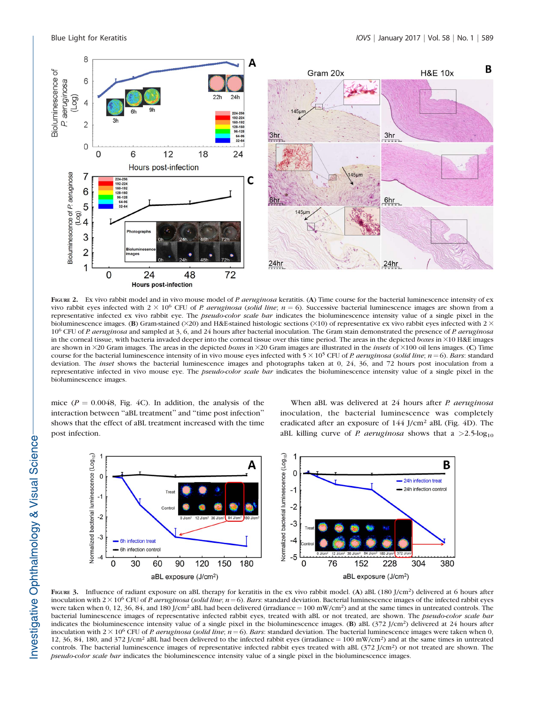

FIGURE 2. Ex vivo rabbit model and in vivo mouse model of P. aeruginosa keratitis. (A) Time course for the bacterial luminescence intensity of ex vivo rabbit eyes infected with  $2 \times 10^6$  CFU of P. aeruginosa (solid line;  $n = 6$ ). Successive bacterial luminescence images are shown from a representative infected ex vivo rabbit eye. The *pseudo-color scale bar* indicates the bioluminescence intensity value of a single pixel in the bioluminescence images. (B) Gram-stained ( $\times$ 20) and H&E-stained histologic sections ( $\times$ 10) of representative ex vivo rabbit eyes infected with 2  $\times$ 10<sup>6</sup> CFU of P. aeruginosa and sampled at 3, 6, and 24 hours after bacterial inoculation. The Gram stain demonstrated the presence of P. aeruginosa in the corneal tissue, with bacteria invaded deeper into the corneal tissue over this time period. The areas in the depicted boxes in  $\times 10$  H&E images are shown in  $\times$ 20 Gram images. The areas in the depicted boxes in  $\times$ 20 Gram images are illustrated in the *insets* of  $\times$ 100 oil lens images. (C) Time course for the bacterial luminescence intensity of in vivo mouse eyes infected with  $5 \times 10^5$  CFU of P. aeruginosa (solid line; n = 6). Bars: standard deviation. The *inset* shows the bacterial luminescence images and photographs taken at 0, 24, 36, and 72 hours post inoculation from a representative infected in vivo mouse eye. The *pseudo-color scale bar* indicates the bioluminescence intensity value of a single pixel in the bioluminescence images.

mice ( $P = 0.0048$ , Fig. 4C). In addition, the analysis of the interaction between ''aBL treatment'' and ''time post infection'' shows that the effect of aBL treatment increased with the time post infection.

When aBL was delivered at 24 hours after P. aeruginosa inoculation, the bacterial luminescence was completely eradicated after an exposure of 144 J/cm<sup>2</sup> aBL (Fig. 4D). The aBL killing curve of *P. aeruginosa* shows that a  $>2.5$ -log<sub>10</sub>



FIGURE 3. Influence of radiant exposure on aBL therapy for keratitis in the ex vivo rabbit model. (A) aBL (180 J/cm<sup>2</sup>) delivered at 6 hours after inoculation with  $2 \times 10^6$  CFU of P. aeruginosa (solid line;  $n = 6$ ). Bars: standard deviation. Bacterial luminescence images of the infected rabbit eyes were taken when 0, 12, 36, 84, and 180 J/cm<sup>2</sup> aBL had been delivered (irradiance =  $100 \text{ mW/cm}^2$ ) and at the same times in untreated controls. The bacterial luminescence images of representative infected rabbit eyes, treated with aBL or not treated, are shown. The *pseudo-color scale bar* indicates the bioluminescence intensity value of a single pixel in the bioluminescence images. (B) aBL (372 J/cm2) delivered at 24 hours after inoculation with  $2 \times 10^6$  CFU of *P. aeruginosa (solid line; n* = 6). Bars: standard deviation. The bacterial luminescence images were taken when 0, 12, 36, 84, 180, and 372 J/cm<sup>2</sup> aBL had been delivered to the infected rabbit eyes (irradiance =  $100 \text{ mW/cm}^2$ ) and at the same times in untreated controls. The bacterial luminescence images of representative infected rabbit eyes treated with aBL (372 J/cm<sup>2</sup>) or not treated are shown. The pseudo-color scale bar indicates the bioluminescence intensity value of a single pixel in the bioluminescence images.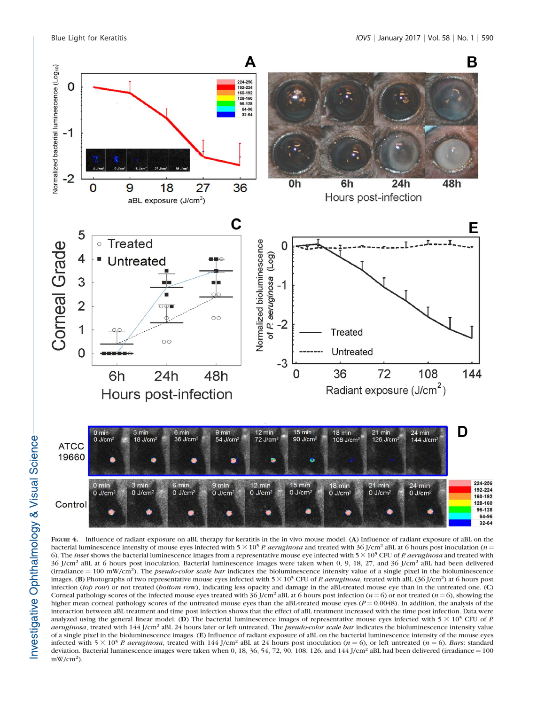

FIGURE 4. Influence of radiant exposure on aBL therapy for keratitis in the in vivo mouse model. (A) Influence of radiant exposure of aBL on the bacterial luminescence intensity of mouse eyes infected with  $5 \times 10^5$  P. aeruginosa and treated with 36 J/cm<sup>2</sup> aBL at 6 hours post inoculation (n = 6). The *inset* shows the bacterial luminescence images from a representative mouse eye infected with  $5 \times 10^5$  CFU of *P. aeruginosa* and treated with 36 J/cm2 aBL at 6 hours post inoculation. Bacterial luminescence images were taken when 0, 9, 18, 27, and 36 J/cm2 aBL had been delivered (irradiance  $= 100 \text{ mW/cm}^2$ ). The *pseudo-color scale bar* indicates the bioluminescence intensity value of a single pixel in the bioluminescence images. (B) Photographs of two representative mouse eyes infected with  $5 \times 10^5$  CFU of P. aeruginosa, treated with aBL (36 J/cm<sup>2</sup>) at 6 hours post infection (top row) or not treated (bottom row), indicating less opacity and damage in the aBL-treated mouse eye than in the untreated one. (C) Corneal pathology scores of the infected mouse eyes treated with 36 J/cm<sup>2</sup> aBL at 6 hours post infection ( $n = 6$ ) or not treated ( $n = 6$ ), showing the higher mean corneal pathology scores of the untreated mouse eyes than the aBL-treated mouse eyes ( $P = 0.0048$ ). In addition, the analysis of the interaction between aBL treatment and time post infection shows that the effect of aBL treatment increased with the time post infection. Data were analyzed using the general linear model. (D) The bacterial luminescence images of representative mouse eyes infected with  $5 \times 10^5$  CFU of P. aeruginosa, treated with 144 J/cm<sup>2</sup> aBL 24 hours later or left untreated. The *pseudo-color scale bar* indicates the bioluminescence intensity value of a single pixel in the bioluminescence images. (E) Influence of radiant exposure of aBL on the bacterial luminescence intensity of the mouse eyes infected with  $5 \times 10^5$  P. aeruginosa, treated with 144 J/cm<sup>2</sup> aBL at 24 hours post inoculation (n = 6), or left untreated (n = 6). Bars: standard deviation. Bacterial luminescence images were taken when 0, 18, 36, 54, 72, 90, 108, 126, and 144 J/cm<sup>2</sup> aBL had been delivered (irradiance = 100  $mW/cm<sup>2</sup>$ ).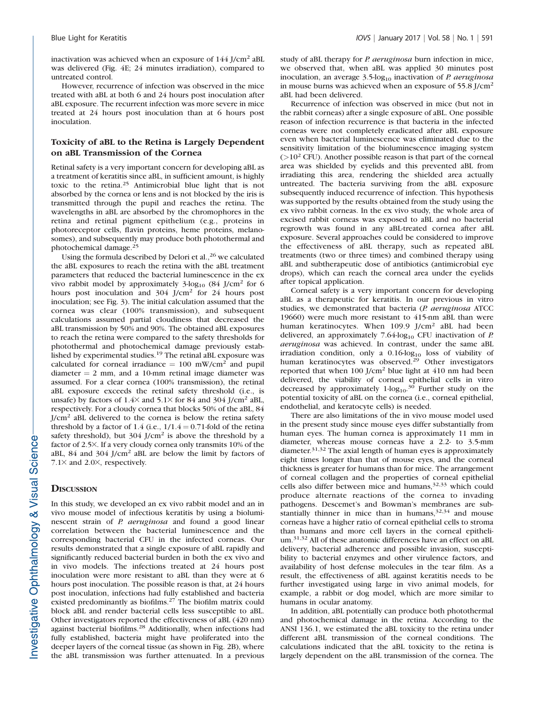inactivation was achieved when an exposure of 144 J/cm<sup>2</sup> aBL was delivered (Fig. 4E; 24 minutes irradiation), compared to untreated control.

However, recurrence of infection was observed in the mice treated with aBL at both 6 and 24 hours post inoculation after aBL exposure. The recurrent infection was more severe in mice treated at 24 hours post inoculation than at 6 hours post inoculation.

#### Toxicity of aBL to the Retina is Largely Dependent on aBL Transmission of the Cornea

Retinal safety is a very important concern for developing aBL as a treatment of keratitis since aBL, in sufficient amount, is highly toxic to the retina.<sup>25</sup> Antimicrobial blue light that is not absorbed by the cornea or lens and is not blocked by the iris is transmitted through the pupil and reaches the retina. The wavelengths in aBL are absorbed by the chromophores in the retina and retinal pigment epithelium (e.g., proteins in photoreceptor cells, flavin proteins, heme proteins, melanosomes), and subsequently may produce both photothermal and photochemical damage.<sup>25</sup>

Using the formula described by Delori et al.,<sup>26</sup> we calculated the aBL exposures to reach the retina with the aBL treatment parameters that reduced the bacterial luminescence in the ex vivo rabbit model by approximately  $3\text{-log}_{10}$  (84 J/cm<sup>2</sup> for 6 hours post inoculation and 304 J/cm<sup>2</sup> for 24 hours post inoculation; see Fig. 3). The initial calculation assumed that the cornea was clear (100% transmission), and subsequent calculations assumed partial cloudiness that decreased the aBL transmission by 50% and 90%. The obtained aBL exposures to reach the retina were compared to the safety thresholds for photothermal and photochemical damage previously established by experimental studies.<sup>19</sup> The retinal aBL exposure was calculated for corneal irradiance  $= 100$  mW/cm<sup>2</sup> and pupil diameter  $= 2$  mm, and a 10-mm retinal image diameter was assumed. For a clear cornea (100% transmission), the retinal aBL exposure exceeds the retinal safety threshold (i.e., is unsafe) by factors of  $1.4\times$  and  $5.1\times$  for 84 and 304 J/cm<sup>2</sup> aBL, respectively. For a cloudy cornea that blocks 50% of the aBL, 84  $J/cm<sup>2</sup>$  aBL delivered to the cornea is below the retina safety threshold by a factor of 1.4 (i.e.,  $1/1.4 = 0.71$ -fold of the retina safety threshold), but  $304$  J/cm<sup>2</sup> is above the threshold by a factor of 2.5×. If a very cloudy cornea only transmits 10% of the aBL, 84 and 304 J/cm<sup>2</sup> aBL are below the limit by factors of  $7.1\times$  and 2.0 $\times$ , respectively.

#### **DISCUSSION**

In this study, we developed an ex vivo rabbit model and an in vivo mouse model of infectious keratitis by using a bioluminescent strain of *P. aeruginosa* and found a good linear correlation between the bacterial luminescence and the corresponding bacterial CFU in the infected corneas. Our results demonstrated that a single exposure of aBL rapidly and significantly reduced bacterial burden in both the ex vivo and in vivo models. The infections treated at 24 hours post inoculation were more resistant to aBL than they were at 6 hours post inoculation. The possible reason is that, at 24 hours post inoculation, infections had fully established and bacteria existed predominantly as biofilms.<sup>27</sup> The biofilm matrix could block aBL and render bacterial cells less susceptible to aBL. Other investigators reported the effectiveness of aBL (420 nm) against bacterial biofilms.<sup>28</sup> Additionally, when infections had fully established, bacteria might have proliferated into the deeper layers of the corneal tissue (as shown in Fig. 2B), where the aBL transmission was further attenuated. In a previous

study of aBL therapy for P. aeruginosa burn infection in mice, we observed that, when aBL was applied 30 minutes post inoculation, an average  $3.5$ -log<sub>10</sub> inactivation of *P. aeruginosa* in mouse burns was achieved when an exposure of 55.8 J/cm<sup>2</sup> aBL had been delivered.

Recurrence of infection was observed in mice (but not in the rabbit corneas) after a single exposure of aBL. One possible reason of infection recurrence is that bacteria in the infected corneas were not completely eradicated after aBL exposure even when bacterial luminescence was eliminated due to the sensitivity limitation of the bioluminescence imaging system  $(>10^2$  CFU). Another possible reason is that part of the corneal area was shielded by eyelids and this prevented aBL from irradiating this area, rendering the shielded area actually untreated. The bacteria surviving from the aBL exposure subsequently induced recurrence of infection. This hypothesis was supported by the results obtained from the study using the ex vivo rabbit corneas. In the ex vivo study, the whole area of excised rabbit corneas was exposed to aBL and no bacterial regrowth was found in any aBL-treated cornea after aBL exposure. Several approaches could be considered to improve the effectiveness of aBL therapy, such as repeated aBL treatments (two or three times) and combined therapy using aBL and subtherapeutic dose of antibiotics (antimicrobial eye drops), which can reach the corneal area under the eyelids after topical application.

Corneal safety is a very important concern for developing aBL as a therapeutic for keratitis. In our previous in vitro studies, we demonstrated that bacteria (P. aeruginosa ATCC 19660) were much more resistant to 415-nm aBL than were human keratinocytes. When 109.9 J/cm<sup>2</sup> aBL had been delivered, an approximately  $7.64 \log_{10}$  CFU inactivation of P. aeruginosa was achieved. In contrast, under the same aBL irradiation condition, only a  $0.16$ -log<sub>10</sub> loss of viability of human keratinocytes was observed.<sup>29</sup> Other investigators reported that when 100 J/cm<sup>2</sup> blue light at 410 nm had been delivered, the viability of corneal epithelial cells in vitro decreased by approximately  $1$ -log<sub>10</sub>.<sup>30</sup> Further study on the potential toxicity of aBL on the cornea (i.e., corneal epithelial, endothelial, and keratocyte cells) is needed.

There are also limitations of the in vivo mouse model used in the present study since mouse eyes differ substantially from human eyes. The human cornea is approximately 11 mm in diameter, whereas mouse corneas have a 2.2- to 3.5-mm diameter.<sup>31,32</sup> The axial length of human eyes is approximately eight times longer than that of mouse eyes, and the corneal thickness is greater for humans than for mice. The arrangement of corneal collagen and the properties of corneal epithelial cells also differ between mice and humans,  $32,33$  which could produce alternate reactions of the cornea to invading pathogens. Descemet's and Bowman's membranes are substantially thinner in mice than in humans,<sup>32,34</sup> and mouse corneas have a higher ratio of corneal epithelial cells to stroma than humans and more cell layers in the corneal epithelium.31,32 All of these anatomic differences have an effect on aBL delivery, bacterial adherence and possible invasion, susceptibility to bacterial enzymes and other virulence factors, and availability of host defense molecules in the tear film. As a result, the effectiveness of aBL against keratitis needs to be further investigated using large in vivo animal models, for example, a rabbit or dog model, which are more similar to humans in ocular anatomy.

In addition, aBL potentially can produce both photothermal and photochemical damage in the retina. According to the ANSI 136.1, we estimated the aBL toxicity to the retina under different aBL transmission of the corneal conditions. The calculations indicated that the aBL toxicity to the retina is largely dependent on the aBL transmission of the cornea. The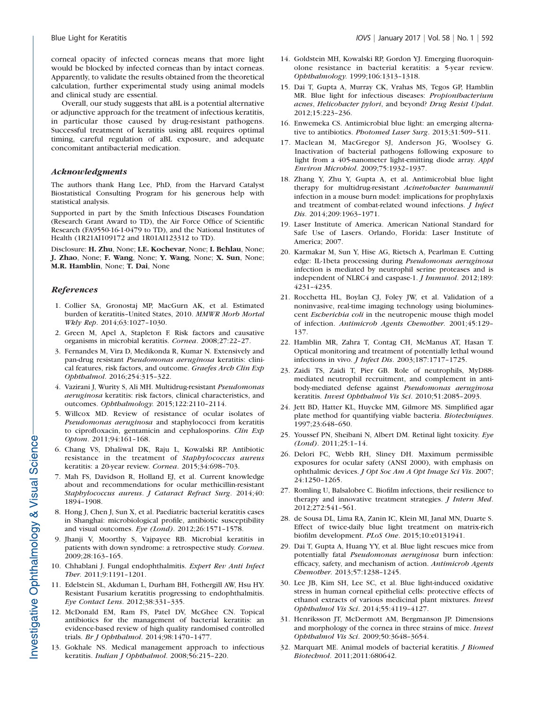corneal opacity of infected corneas means that more light would be blocked by infected corneas than by intact corneas. Apparently, to validate the results obtained from the theoretical calculation, further experimental study using animal models and clinical study are essential.

Overall, our study suggests that aBL is a potential alternative or adjunctive approach for the treatment of infectious keratitis, in particular those caused by drug-resistant pathogens. Successful treatment of keratitis using aBL requires optimal timing, careful regulation of aBL exposure, and adequate concomitant antibacterial medication.

#### Acknowledgments

The authors thank Hang Lee, PhD, from the Harvard Catalyst Biostatistical Consulting Program for his generous help with statistical analysis.

Supported in part by the Smith Infectious Diseases Foundation (Research Grant Award to TD), the Air Force Office of Scientific Research (FA9550-16-1-0479 to TD), and the National Institutes of Health (1R21AI109172 and 1R01AI123312 to TD).

Disclosure: H. Zhu, None; I.E. Kochevar, None; I. Behlau, None; J. Zhao, None; F. Wang, None; Y. Wang, None; X. Sun, None; M.R. Hamblin, None; T. Dai, None

#### **References**

- 1. Collier SA, Gronostaj MP, MacGurn AK, et al. Estimated burden of keratitis–United States, 2010. MMWR Morb Mortal Wkly Rep. 2014;63:1027–1030.
- 2. Green M, Apel A, Stapleton F. Risk factors and causative organisms in microbial keratitis. Cornea. 2008;27:22–27.
- 3. Fernandes M, Vira D, Medikonda R, Kumar N. Extensively and pan-drug resistant Pseudomonas aeruginosa keratitis: clinical features, risk factors, and outcome. Graefes Arch Clin Exp Ophthalmol. 2016;254:315–322.
- 4. Vazirani J, Wurity S, Ali MH. Multidrug-resistant Pseudomonas aeruginosa keratitis: risk factors, clinical characteristics, and outcomes. Ophthalmology. 2015;122:2110–2114.
- 5. Willcox MD. Review of resistance of ocular isolates of Pseudomonas aeruginosa and staphylococci from keratitis to ciprofloxacin, gentamicin and cephalosporins. Clin Exp Optom. 2011;94:161–168.
- 6. Chang VS, Dhaliwal DK, Raju L, Kowalski RP. Antibiotic resistance in the treatment of Staphylococcus aureus keratitis: a 20-year review. Cornea. 2015;34:698–703.
- 7. Mah FS, Davidson R, Holland EJ, et al. Current knowledge about and recommendations for ocular methicillin-resistant Staphylococcus aureus. J Cataract Refract Surg. 2014;40: 1894–1908.
- 8. Hong J, Chen J, Sun X, et al. Paediatric bacterial keratitis cases in Shanghai: microbiological profile, antibiotic susceptibility and visual outcomes. Eye (Lond). 2012;26:1571–1578.
- 9. Jhanji V, Moorthy S, Vajpayee RB. Microbial keratitis in patients with down syndrome: a retrospective study. Cornea. 2009;28:163–165.
- 10. Chhablani J. Fungal endophthalmitis. Expert Rev Anti Infect Ther. 2011;9:1191–1201.
- 11. Edelstein SL, Akduman L, Durham BH, Fothergill AW, Hsu HY. Resistant Fusarium keratitis progressing to endophthalmitis. Eye Contact Lens. 2012;38:331–335.
- 12. McDonald EM, Ram FS, Patel DV, McGhee CN. Topical antibiotics for the management of bacterial keratitis: an evidence-based review of high quality randomised controlled trials. Br J Ophthalmol. 2014;98:1470–1477.
- 13. Gokhale NS. Medical management approach to infectious keratitis. Indian J Ophthalmol. 2008;56:215–220.
- 14. Goldstein MH, Kowalski RP, Gordon YJ. Emerging fluoroquinolone resistance in bacterial keratitis: a 5-year review. Ophthalmology. 1999;106:1313–1318.
- 15. Dai T, Gupta A, Murray CK, Vrahas MS, Tegos GP, Hamblin MR. Blue light for infectious diseases: Propionibacterium acnes, Helicobacter pylori, and beyond? Drug Resist Updat. 2012;15:223–236.
- 16. Enwemeka CS. Antimicrobial blue light: an emerging alternative to antibiotics. Photomed Laser Surg. 2013;31:509–511.
- 17. Maclean M, MacGregor SJ, Anderson JG, Woolsey G. Inactivation of bacterial pathogens following exposure to light from a 405-nanometer light-emitting diode array. Appl Environ Microbiol. 2009;75:1932–1937.
- 18. Zhang Y, Zhu Y, Gupta A, et al. Antimicrobial blue light therapy for multidrug-resistant Acinetobacter baumannii infection in a mouse burn model: implications for prophylaxis and treatment of combat-related wound infections. J Infect Dis. 2014;209:1963–1971.
- 19. Laser Institute of America. American National Standard for Safe Use of Lasers. Orlando, Florida: Laser Institute of America; 2007.
- 20. Karmakar M, Sun Y, Hise AG, Rietsch A, Pearlman E. Cutting edge: IL-1beta processing during Pseudomonas aeruginosa infection is mediated by neutrophil serine proteases and is independent of NLRC4 and caspase-1. *J Immunol*. 2012;189: 4231–4235.
- 21. Rocchetta HL, Boylan CJ, Foley JW, et al. Validation of a noninvasive, real-time imaging technology using bioluminescent Escherichia coli in the neutropenic mouse thigh model of infection. Antimicrob Agents Chemother. 2001;45:129– 137.
- 22. Hamblin MR, Zahra T, Contag CH, McManus AT, Hasan T. Optical monitoring and treatment of potentially lethal wound infections in vivo. J Infect Dis. 2003;187:1717–1725.
- 23. Zaidi TS, Zaidi T, Pier GB. Role of neutrophils, MyD88 mediated neutrophil recruitment, and complement in antibody-mediated defense against Pseudomonas aeruginosa keratitis. Invest Ophthalmol Vis Sci. 2010;51:2085–2093.
- 24. Jett BD, Hatter KL, Huycke MM, Gilmore MS. Simplified agar plate method for quantifying viable bacteria. Biotechniques. 1997;23:648–650.
- 25. Youssef PN, Sheibani N, Albert DM. Retinal light toxicity. Eye (Lond). 2011;25:1–14.
- 26. Delori FC, Webb RH, Sliney DH. Maximum permissible exposures for ocular safety (ANSI 2000), with emphasis on ophthalmic devices. J Opt Soc Am A Opt Image Sci Vis. 2007; 24:1250–1265.
- 27. Romling U, Balsalobre C. Biofilm infections, their resilience to therapy and innovative treatment strategies. J Intern Med. 2012;272:541–561.
- 28. de Sousa DL, Lima RA, Zanin IC, Klein MI, Janal MN, Duarte S. Effect of twice-daily blue light treatment on matrix-rich biofilm development. PLoS One. 2015;10:e0131941.
- 29. Dai T, Gupta A, Huang YY, et al. Blue light rescues mice from potentially fatal Pseudomonas aeruginosa burn infection: efficacy, safety, and mechanism of action. Antimicrob Agents Chemother. 2013;57:1238–1245.
- 30. Lee JB, Kim SH, Lee SC, et al. Blue light-induced oxidative stress in human corneal epithelial cells: protective effects of ethanol extracts of various medicinal plant mixtures. Invest Ophthalmol Vis Sci. 2014;55:4119–4127.
- 31. Henriksson JT, McDermott AM, Bergmanson JP. Dimensions and morphology of the cornea in three strains of mice. Invest Ophthalmol Vis Sci. 2009;50:3648–3654.
- 32. Marquart ME. Animal models of bacterial keratitis. J Biomed Biotechnol. 2011;2011:680642.